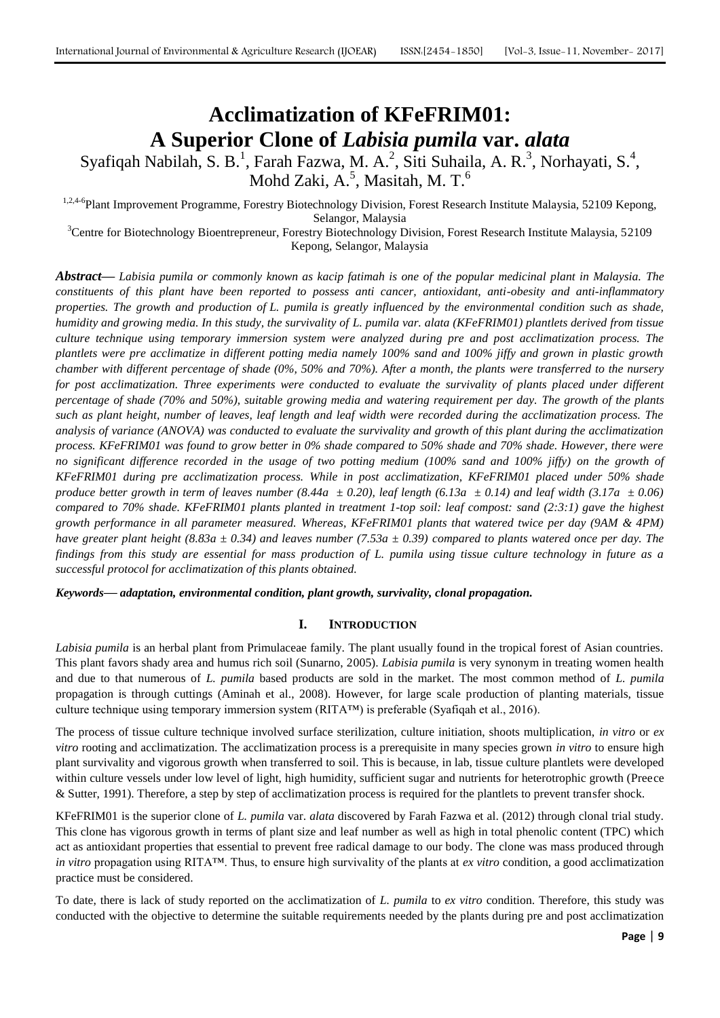# **Acclimatization of KFeFRIM01: A Superior Clone of** *Labisia pumila* **var.** *alata*

Syafiqah Nabilah, S. B.<sup>1</sup>, Farah Fazwa, M. A.<sup>2</sup>, Siti Suhaila, A. R.<sup>3</sup>, Norhayati, S.<sup>4</sup>, Mohd Zaki, A. $^5$ , Masitah, M. T. $^6$ 

<sup>1,2,4-6</sup>Plant Improvement Programme, Forestry Biotechnology Division, Forest Research Institute Malaysia, 52109 Kepong, Selangor, Malaysia

<sup>3</sup>Centre for Biotechnology Bioentrepreneur, Forestry Biotechnology Division, Forest Research Institute Malaysia, 52109 Kepong, Selangor, Malaysia

*Abstract***—** *Labisia pumila or commonly known as kacip fatimah is one of the popular medicinal plant in Malaysia. The constituents of this plant have been reported to possess anti cancer, antioxidant, anti-obesity and anti-inflammatory properties. The growth and production of L. pumila is greatly influenced by the environmental condition such as shade, humidity and growing media. In this study, the survivality of L. pumila var. alata (KFeFRIM01) plantlets derived from tissue culture technique using temporary immersion system were analyzed during pre and post acclimatization process. The plantlets were pre acclimatize in different potting media namely 100% sand and 100% jiffy and grown in plastic growth chamber with different percentage of shade (0%, 50% and 70%). After a month, the plants were transferred to the nursery for post acclimatization. Three experiments were conducted to evaluate the survivality of plants placed under different percentage of shade (70% and 50%), suitable growing media and watering requirement per day. The growth of the plants such as plant height, number of leaves, leaf length and leaf width were recorded during the acclimatization process. The analysis of variance (ANOVA) was conducted to evaluate the survivality and growth of this plant during the acclimatization process. KFeFRIM01 was found to grow better in 0% shade compared to 50% shade and 70% shade. However, there were*  no significant difference recorded in the usage of two potting medium (100% sand and 100% jiffy) on the growth of *KFeFRIM01 during pre acclimatization process. While in post acclimatization, KFeFRIM01 placed under 50% shade produce better growth in term of leaves number (8.44a*  $\pm$  0.20), *leaf length (6.13a*  $\pm$  0.14) *and leaf width (3.17a*  $\pm$  0.06) *compared to 70% shade. KFeFRIM01 plants planted in treatment 1-top soil: leaf compost: sand (2:3:1) gave the highest growth performance in all parameter measured. Whereas, KFeFRIM01 plants that watered twice per day (9AM & 4PM) have greater plant height (8.83a ± 0.34) and leaves number (7.53a ± 0.39) compared to plants watered once per day. The findings from this study are essential for mass production of L. pumila using tissue culture technology in future as a successful protocol for acclimatization of this plants obtained.*

*Keywords— adaptation, environmental condition, plant growth, survivality, clonal propagation.*

# **I. INTRODUCTION**

*Labisia pumila* is an herbal plant from Primulaceae family. The plant usually found in the tropical forest of Asian countries. This plant favors shady area and humus rich soil (Sunarno, 2005). *Labisia pumila* is very synonym in treating women health and due to that numerous of *L. pumila* based products are sold in the market. The most common method of *L. pumila* propagation is through cuttings (Aminah et al., 2008). However, for large scale production of planting materials, tissue culture technique using temporary immersion system (RITA™) is preferable (Syafiqah et al., 2016).

The process of tissue culture technique involved surface sterilization, culture initiation, shoots multiplication, *in vitro* or *ex vitro* rooting and acclimatization. The acclimatization process is a prerequisite in many species grown *in vitro* to ensure high plant survivality and vigorous growth when transferred to soil. This is because, in lab, tissue culture plantlets were developed within culture vessels under low level of light, high humidity, sufficient sugar and nutrients for heterotrophic growth (Preece & Sutter, 1991). Therefore, a step by step of acclimatization process is required for the plantlets to prevent transfer shock.

KFeFRIM01 is the superior clone of *L. pumila* var. *alata* discovered by Farah Fazwa et al. (2012) through clonal trial study. This clone has vigorous growth in terms of plant size and leaf number as well as high in total phenolic content (TPC) which act as antioxidant properties that essential to prevent free radical damage to our body. The clone was mass produced through *in vitro* propagation using RITA™. Thus, to ensure high survivality of the plants at *ex vitro* condition, a good acclimatization practice must be considered.

To date, there is lack of study reported on the acclimatization of *L. pumila* to *ex vitro* condition. Therefore, this study was conducted with the objective to determine the suitable requirements needed by the plants during pre and post acclimatization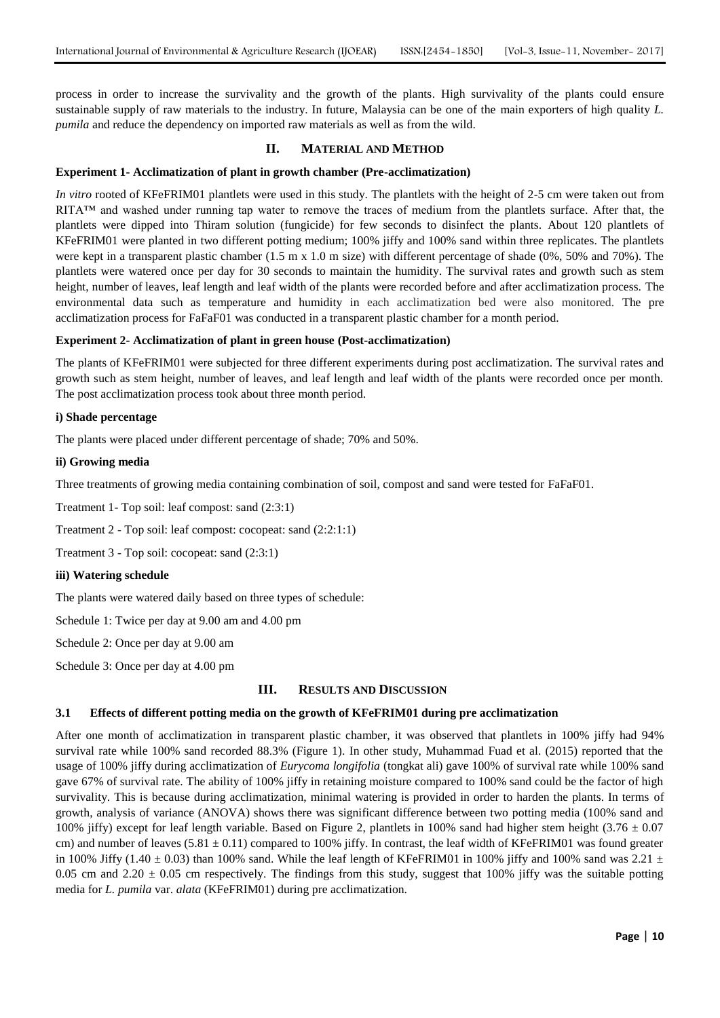process in order to increase the survivality and the growth of the plants. High survivality of the plants could ensure sustainable supply of raw materials to the industry. In future, Malaysia can be one of the main exporters of high quality *L. pumila* and reduce the dependency on imported raw materials as well as from the wild.

## **II. MATERIAL AND METHOD**

## **Experiment 1- Acclimatization of plant in growth chamber (Pre-acclimatization)**

*In vitro* rooted of KFeFRIM01 plantlets were used in this study. The plantlets with the height of 2-5 cm were taken out from RITA<sup>™</sup> and washed under running tap water to remove the traces of medium from the plantlets surface. After that, the plantlets were dipped into Thiram solution (fungicide) for few seconds to disinfect the plants. About 120 plantlets of KFeFRIM01 were planted in two different potting medium; 100% jiffy and 100% sand within three replicates. The plantlets were kept in a transparent plastic chamber (1.5 m x 1.0 m size) with different percentage of shade (0%, 50% and 70%). The plantlets were watered once per day for 30 seconds to maintain the humidity. The survival rates and growth such as stem height, number of leaves, leaf length and leaf width of the plants were recorded before and after acclimatization process. The environmental data such as temperature and humidity in each acclimatization bed were also monitored. The pre acclimatization process for FaFaF01 was conducted in a transparent plastic chamber for a month period.

#### **Experiment 2- Acclimatization of plant in green house (Post-acclimatization)**

The plants of KFeFRIM01 were subjected for three different experiments during post acclimatization. The survival rates and growth such as stem height, number of leaves, and leaf length and leaf width of the plants were recorded once per month. The post acclimatization process took about three month period.

#### **i) Shade percentage**

The plants were placed under different percentage of shade; 70% and 50%.

#### **ii) Growing media**

Three treatments of growing media containing combination of soil, compost and sand were tested for FaFaF01.

Treatment 1- Top soil: leaf compost: sand (2:3:1)

Treatment 2 - Top soil: leaf compost: cocopeat: sand (2:2:1:1)

Treatment 3 - Top soil: cocopeat: sand (2:3:1)

#### **iii) Watering schedule**

The plants were watered daily based on three types of schedule:

Schedule 1: Twice per day at 9.00 am and 4.00 pm

Schedule 2: Once per day at 9.00 am

Schedule 3: Once per day at 4.00 pm

## **III. RESULTS AND DISCUSSION**

## **3.1 Effects of different potting media on the growth of KFeFRIM01 during pre acclimatization**

After one month of acclimatization in transparent plastic chamber, it was observed that plantlets in 100% jiffy had 94% survival rate while 100% sand recorded 88.3% (Figure 1). In other study, Muhammad Fuad et al. (2015) reported that the usage of 100% jiffy during acclimatization of *Eurycoma longifolia* (tongkat ali) gave 100% of survival rate while 100% sand gave 67% of survival rate. The ability of 100% jiffy in retaining moisture compared to 100% sand could be the factor of high survivality. This is because during acclimatization, minimal watering is provided in order to harden the plants. In terms of growth, analysis of variance (ANOVA) shows there was significant difference between two potting media (100% sand and 100% jiffy) except for leaf length variable. Based on Figure 2, plantlets in 100% sand had higher stem height  $(3.76 \pm 0.07)$ cm) and number of leaves  $(5.81 \pm 0.11)$  compared to 100% jiffy. In contrast, the leaf width of KFeFRIM01 was found greater in 100% Jiffy (1.40  $\pm$  0.03) than 100% sand. While the leaf length of KFeFRIM01 in 100% jiffy and 100% sand was 2.21  $\pm$ 0.05 cm and 2.20  $\pm$  0.05 cm respectively. The findings from this study, suggest that 100% jiffy was the suitable potting media for *L. pumila* var. *alata* (KFeFRIM01) during pre acclimatization.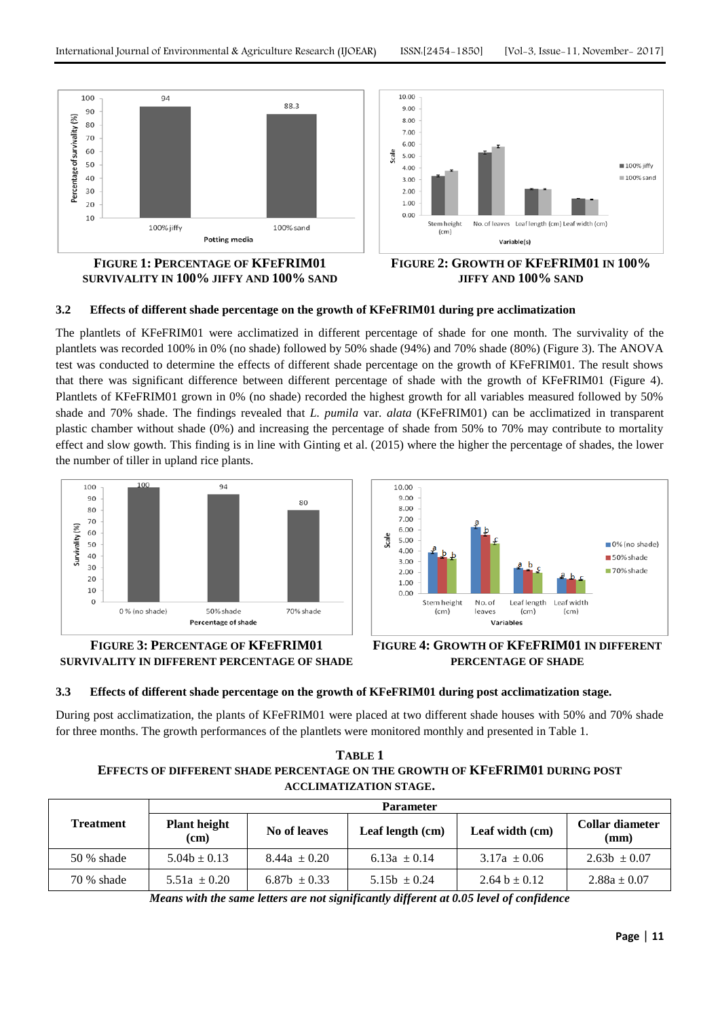

**SURVIVALITY IN 100% JIFFY AND 100% SAND**



# **3.2 Effects of different shade percentage on the growth of KFeFRIM01 during pre acclimatization**

The plantlets of KFeFRIM01 were acclimatized in different percentage of shade for one month. The survivality of the plantlets was recorded 100% in 0% (no shade) followed by 50% shade (94%) and 70% shade (80%) (Figure 3). The ANOVA test was conducted to determine the effects of different shade percentage on the growth of KFeFRIM01. The result shows that there was significant difference between different percentage of shade with the growth of KFeFRIM01 (Figure 4). Plantlets of KFeFRIM01 grown in 0% (no shade) recorded the highest growth for all variables measured followed by 50% shade and 70% shade. The findings revealed that *L. pumila* var. *alata* (KFeFRIM01) can be acclimatized in transparent plastic chamber without shade (0%) and increasing the percentage of shade from 50% to 70% may contribute to mortality effect and slow gowth. This finding is in line with Ginting et al. (2015) where the higher the percentage of shades, the lower the number of tiller in upland rice plants.





# **FIGURE 3: PERCENTAGE OF KFEFRIM01 SURVIVALITY IN DIFFERENT PERCENTAGE OF SHADE**



## **3.3 Effects of different shade percentage on the growth of KFeFRIM01 during post acclimatization stage.**

During post acclimatization, the plants of KFeFRIM01 were placed at two different shade houses with 50% and 70% shade for three months. The growth performances of the plantlets were monitored monthly and presented in Table 1.

# **TABLE 1 EFFECTS OF DIFFERENT SHADE PERCENTAGE ON THE GROWTH OF KFEFRIM01 DURING POST ACCLIMATIZATION STAGE.**

| <b>Treatment</b> | <b>Parameter</b>            |                  |                  |                   |                         |  |  |
|------------------|-----------------------------|------------------|------------------|-------------------|-------------------------|--|--|
|                  | <b>Plant height</b><br>(cm) | No of leaves     | Leaf length (cm) | Leaf width (cm)   | Collar diameter<br>(mm) |  |  |
| 50 % shade       | $5.04b \pm 0.13$            | $8.44a \pm 0.20$ | 6.13a $\pm$ 0.14 | $3.17a \pm 0.06$  | $2.63b \pm 0.07$        |  |  |
| 70 % shade       | $5.51a \pm 0.20$            | 6.87b $\pm$ 0.33 | 5.15b $\pm$ 0.24 | 2.64 b $\pm$ 0.12 | $2.88a \pm 0.07$        |  |  |

*Means with the same letters are not significantly different at 0.05 level of confidence*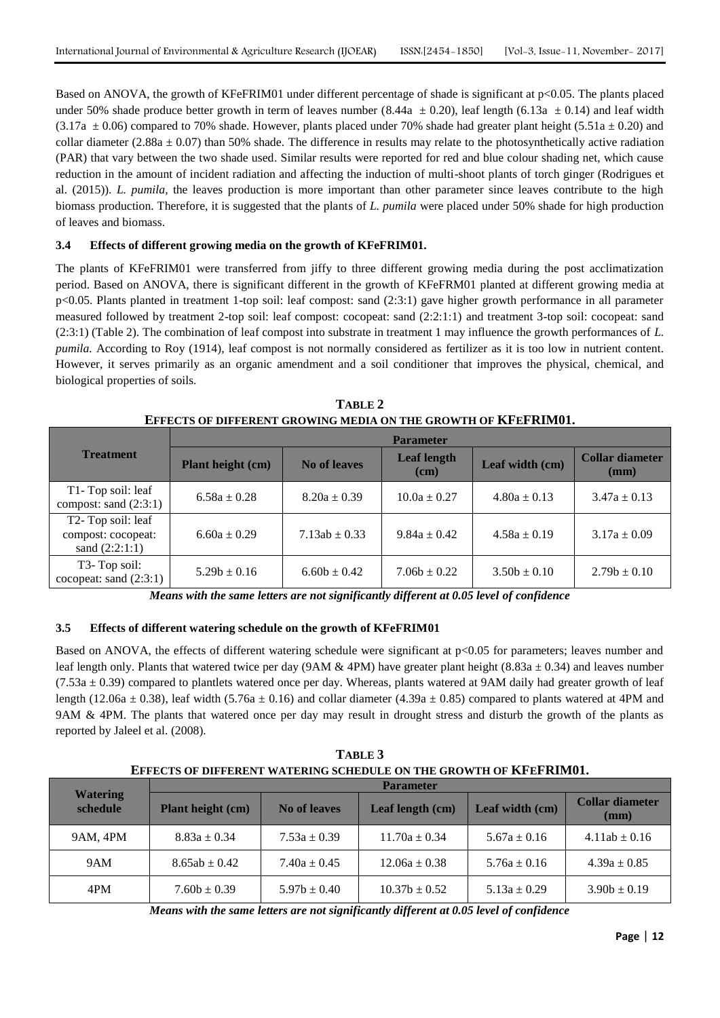Based on ANOVA, the growth of KFeFRIM01 under different percentage of shade is significant at p<0.05. The plants placed under 50% shade produce better growth in term of leaves number (8.44a  $\pm$  0.20), leaf length (6.13a  $\pm$  0.14) and leaf width  $(3.17a \pm 0.06)$  compared to 70% shade. However, plants placed under 70% shade had greater plant height (5.51a  $\pm$  0.20) and collar diameter (2.88a  $\pm$  0.07) than 50% shade. The difference in results may relate to the photosynthetically active radiation (PAR) that vary between the two shade used. Similar results were reported for red and blue colour shading net, which cause reduction in the amount of incident radiation and affecting the induction of multi-shoot plants of torch ginger (Rodrigues et al. (2015)). *L. pumila*, the leaves production is more important than other parameter since leaves contribute to the high biomass production. Therefore, it is suggested that the plants of *L. pumila* were placed under 50% shade for high production of leaves and biomass.

# **3.4 Effects of different growing media on the growth of KFeFRIM01.**

The plants of KFeFRIM01 were transferred from jiffy to three different growing media during the post acclimatization period. Based on ANOVA, there is significant different in the growth of KFeFRM01 planted at different growing media at p<0.05. Plants planted in treatment 1-top soil: leaf compost: sand (2:3:1) gave higher growth performance in all parameter measured followed by treatment 2-top soil: leaf compost: cocopeat: sand (2:2:1:1) and treatment 3-top soil: cocopeat: sand (2:3:1) (Table 2). The combination of leaf compost into substrate in treatment 1 may influence the growth performances of *L. pumila.* According to Roy (1914), leaf compost is not normally considered as fertilizer as it is too low in nutrient content. However, it serves primarily as an organic amendment and a soil conditioner that improves the physical, chemical, and biological properties of soils.

| <b>Treatment</b>                                            | <b>Parameter</b>  |                     |                              |                  |                                           |  |  |
|-------------------------------------------------------------|-------------------|---------------------|------------------------------|------------------|-------------------------------------------|--|--|
|                                                             | Plant height (cm) | <b>No of leaves</b> | <b>Leaf length</b><br>$cm$ ) | Leaf width (cm)  | <b>Collar diameter</b><br>$(\mathbf{mm})$ |  |  |
| T <sub>1</sub> -Top soil: leaf<br>compost: sand $(2:3:1)$   | $6.58a \pm 0.28$  | $8.20a \pm 0.39$    | $10.0a \pm 0.27$             | $4.80a \pm 0.13$ | $3.47a \pm 0.13$                          |  |  |
| T2-Top soil: leaf<br>compost: cocopeat:<br>sand $(2:2:1:1)$ | $6.60a \pm 0.29$  | $7.13ab \pm 0.33$   | $9.84a \pm 0.42$             | $4.58a \pm 0.19$ | $3.17a \pm 0.09$                          |  |  |
| T3- Top soil:<br>cocopeat: sand $(2:3:1)$                   | $5.29b \pm 0.16$  | $6.60b \pm 0.42$    | $7.06b \pm 0.22$             | $3.50b \pm 0.10$ | $2.79b \pm 0.10$                          |  |  |

**TABLE 2 EFFECTS OF DIFFERENT GROWING MEDIA ON THE GROWTH OF KFEFRIM01.**

*Means with the same letters are not significantly different at 0.05 level of confidence*

# **3.5 Effects of different watering schedule on the growth of KFeFRIM01**

Based on ANOVA, the effects of different watering schedule were significant at  $p<0.05$  for parameters; leaves number and leaf length only. Plants that watered twice per day (9AM & 4PM) have greater plant height (8.83a  $\pm$  0.34) and leaves number  $(7.53a \pm 0.39)$  compared to plantlets watered once per day. Whereas, plants watered at 9AM daily had greater growth of leaf length (12.06a  $\pm$  0.38), leaf width (5.76a  $\pm$  0.16) and collar diameter (4.39a  $\pm$  0.85) compared to plants watered at 4PM and 9AM & 4PM. The plants that watered once per day may result in drought stress and disturb the growth of the plants as reported by Jaleel et al. (2008).

**TABLE 3 EFFECTS OF DIFFERENT WATERING SCHEDULE ON THE GROWTH OF KFEFRIM01.**

| <b>Watering</b><br>schedule | <b>Parameter</b>         |                  |                   |                  |                                           |  |  |
|-----------------------------|--------------------------|------------------|-------------------|------------------|-------------------------------------------|--|--|
|                             | <b>Plant height (cm)</b> | No of leaves     | Leaf length (cm)  | Leaf width (cm)  | <b>Collar diameter</b><br>$(\mathbf{mm})$ |  |  |
| 9AM, 4PM                    | $8.83a \pm 0.34$         | $7.53a \pm 0.39$ | $11.70a \pm 0.34$ | $5.67a \pm 0.16$ | $4.11ab \pm 0.16$                         |  |  |
| 9AM                         | $8.65ab \pm 0.42$        | $7.40a \pm 0.45$ | $12.06a \pm 0.38$ | $5.76a \pm 0.16$ | $4.39a \pm 0.85$                          |  |  |
| 4PM                         | $7.60b \pm 0.39$         | $5.97b \pm 0.40$ | $10.37b \pm 0.52$ | $5.13a \pm 0.29$ | $3.90b \pm 0.19$                          |  |  |

*Means with the same letters are not significantly different at 0.05 level of confidence*